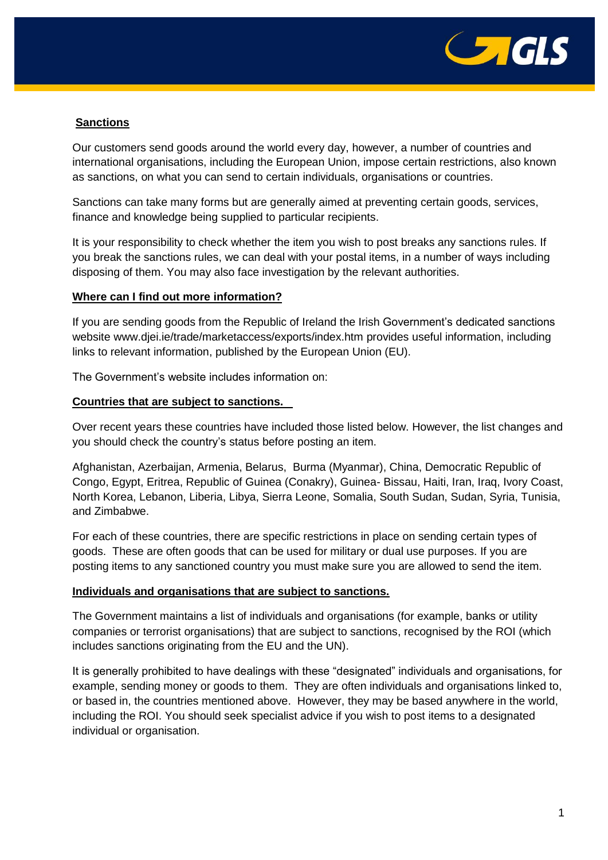

# **Sanctions**

Our customers send goods around the world every day, however, a number of countries and international organisations, including the European Union, impose certain restrictions, also known as sanctions, on what you can send to certain individuals, organisations or countries.

Sanctions can take many forms but are generally aimed at preventing certain goods, services, finance and knowledge being supplied to particular recipients.

It is your responsibility to check whether the item you wish to post breaks any sanctions rules. If you break the sanctions rules, we can deal with your postal items, in a number of ways including disposing of them. You may also face investigation by the relevant authorities.

## **Where can I find out more information?**

If you are sending goods from the Republic of Ireland the Irish Government's dedicated sanctions website www.djei.ie/trade/marketaccess/exports/index.htm provides useful information, including links to relevant information, published by the European Union (EU).

The Government's website includes information on:

### **Countries that are subject to sanctions.**

Over recent years these countries have included those listed below. However, the list changes and you should check the country's status before posting an item.

Afghanistan, Azerbaijan, Armenia, Belarus, Burma (Myanmar), China, Democratic Republic of Congo, Egypt, Eritrea, Republic of Guinea (Conakry), Guinea- Bissau, Haiti, Iran, Iraq, Ivory Coast, North Korea, Lebanon, Liberia, Libya, Sierra Leone, Somalia, South Sudan, Sudan, Syria, Tunisia, and Zimbabwe.

For each of these countries, there are specific restrictions in place on sending certain types of goods. These are often goods that can be used for military or dual use purposes. If you are posting items to any sanctioned country you must make sure you are allowed to send the item.

### **Individuals and organisations that are subject to sanctions.**

The Government maintains a list of individuals and organisations (for example, banks or utility companies or terrorist organisations) that are subject to sanctions, recognised by the ROI (which includes sanctions originating from the EU and the UN).

It is generally prohibited to have dealings with these "designated" individuals and organisations, for example, sending money or goods to them. They are often individuals and organisations linked to, or based in, the countries mentioned above. However, they may be based anywhere in the world, including the ROI. You should seek specialist advice if you wish to post items to a designated individual or organisation.